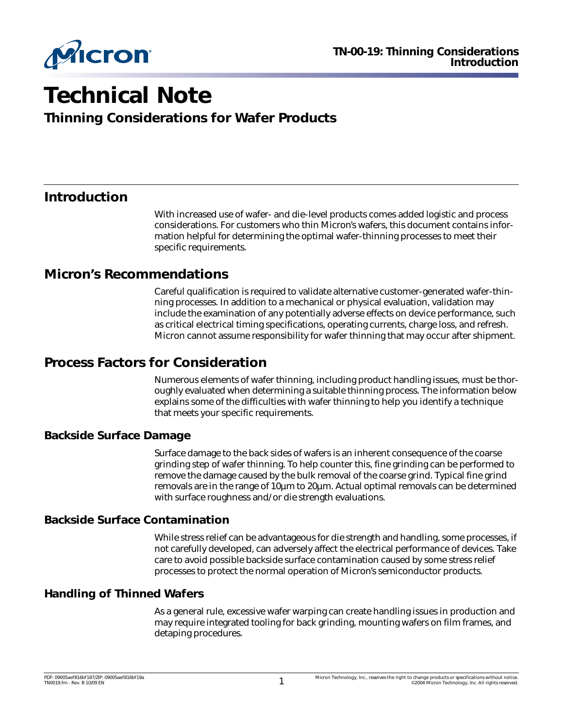

# **Technical Note**

**Thinning Considerations for Wafer Products**

## **Introduction**

With increased use of wafer- and die-level products comes added logistic and process considerations. For customers who thin Micron's wafers, this document contains information helpful for determining the optimal wafer-thinning processes to meet their specific requirements.

#### **Micron's Recommendations**

Careful qualification is required to validate alternative customer-generated wafer-thinning processes. In addition to a mechanical or physical evaluation, validation may include the examination of any potentially adverse effects on device performance, such as critical electrical timing specifications, operating currents, charge loss, and refresh. Micron cannot assume responsibility for wafer thinning that may occur after shipment.

## **Process Factors for Consideration**

Numerous elements of wafer thinning, including product handling issues, must be thoroughly evaluated when determining a suitable thinning process. The information below explains some of the difficulties with wafer thinning to help you identify a technique that meets your specific requirements.

#### **Backside Surface Damage**

Surface damage to the back sides of wafers is an inherent consequence of the coarse grinding step of wafer thinning. To help counter this, fine grinding can be performed to remove the damage caused by the bulk removal of the coarse grind. Typical fine grind removals are in the range of 10µm to 20µm. Actual optimal removals can be determined with surface roughness and/or die strength evaluations.

#### **Backside Surface Contamination**

While stress relief can be advantageous for die strength and handling, some processes, if not carefully developed, can adversely affect the electrical performance of devices. Take care to avoid possible backside surface contamination caused by some stress relief processes to protect the normal operation of Micron's semiconductor products.

#### **Handling of Thinned Wafers**

As a general rule, excessive wafer warping can create handling issues in production and may require integrated tooling for back grinding, mounting wafers on film frames, and detaping procedures.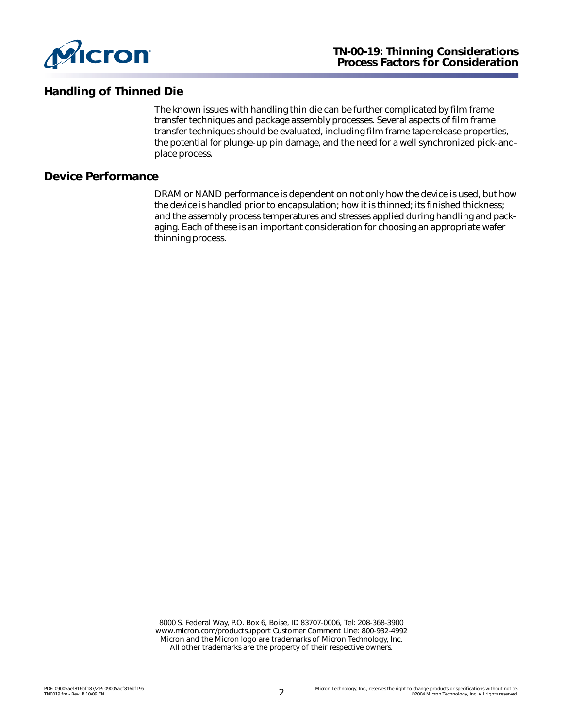

#### **Handling of Thinned Die**

The known issues with handling thin die can be further complicated by film frame transfer techniques and package assembly processes. Several aspects of film frame transfer techniques should be evaluated, including film frame tape release properties, the potential for plunge-up pin damage, and the need for a well synchronized pick-andplace process.

#### **Device Performance**

DRAM or NAND performance is dependent on not only how the device is used, but how the device is handled prior to encapsulation; how it is thinned; its finished thickness; and the assembly process temperatures and stresses applied during handling and packaging. Each of these is an important consideration for choosing an appropriate wafer thinning process.

8000 S. Federal Way, P.O. Box 6, Boise, ID 83707-0006, Tel: 208-368-3900 [www.micron.com/productsupport Customer Comment Line: 800-932-4992](http://www.micron.com/support/productsupport.aspx) Micron and the Micron logo are trademarks of Micron Technology, Inc. All other trademarks are the property of their respective owners.